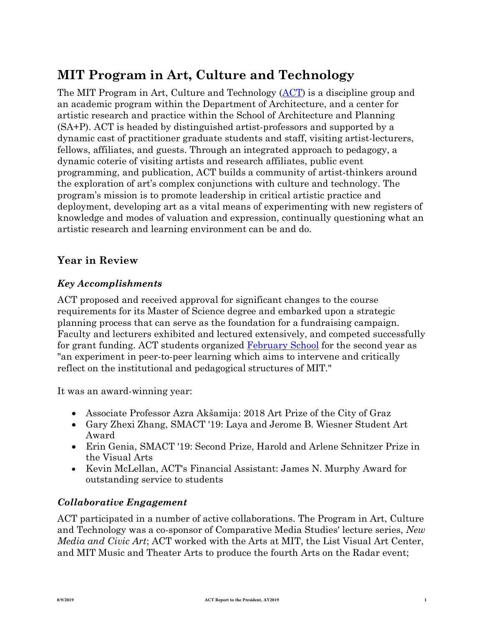# **MIT Program in Art, Culture and Technology**

The MIT Program in Art, Culture and Technology (AC[T\) i](http://act.mit.edu/)s a discipline group and an academic program within the Department of Architecture, and a center for artistic research and practice within the School of Architecture and Planning (SA+P). ACT is headed by distinguished artist-professors and supported by a dynamic cast of practitioner graduate students and staff, visiting artist-lecturers, fellows, affiliates, and guests. Through an integrated approach to pedagogy, a dynamic coterie of visiting artists and research affiliates, public event programming, and publication, ACT builds a community of artist-thinkers around the exploration of art's complex conjunctions with culture and technology. The program's mission is to promote leadership in critical artistic practice and deployment, developing art as a vital means of experimenting with new registers of knowledge and modes of valuation and expression, continually questioning what an artistic research and learning environment can be and do.

# **Year in Review**

## *Key Accomplishments*

ACT proposed and received approval for significant changes to the course requirements for its Master of Science degree and embarked upon a strategic planning process that can serve as the foundation for a fundraising campaign. Faculty and lecturers exhibited and lectured extensively, and competed successfully for grant funding. ACT students organized February Schoo[l for the second](http://act.mit.edu/projects-and-events/events/events/february-school-2019/) year as "an experiment in peer-to-peer learning which aims to intervene and critically reflect on the institutional and pedagogical structures of MIT."

It was an award-winning year:

- Associate Professor Azra Akšamija: 2018 Art Prize of the City of Graz
- Gary Zhexi Zhang, SMACT '19: Laya and Jerome B. Wiesner Student Art Award
- Erin Genia, SMACT '19: Second Prize, Harold and Arlene Schnitzer Prize in the Visual Arts
- Kevin McLellan, ACT's Financial Assistant: James N. Murphy Award for outstanding service to students

### *Collaborative Engagement*

ACT participated in a number of active collaborations. The Program in Art, Culture and Technology was a co-sponsor of Comparative Media Studies' lecture series, *New Media and Civic Art*; ACT worked with the Arts at MIT, the List Visual Art Center, and MIT Music and Theater Arts to produce the fourth Arts on the Radar event;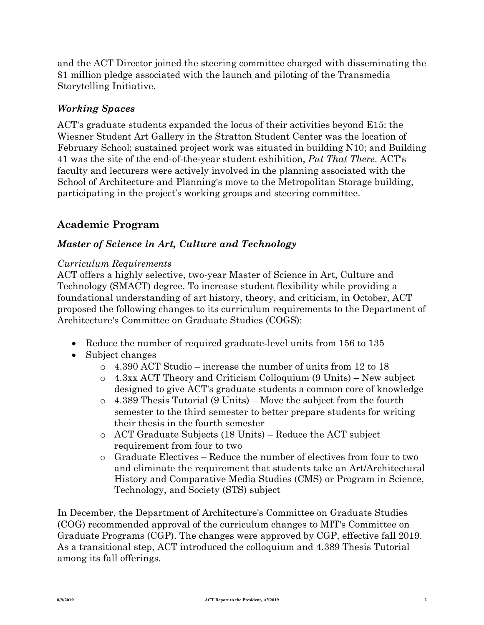and the ACT Director joined the steering committee charged with disseminating the \$1 million pledge associated with the launch and piloting of the Transmedia Storytelling Initiative.

# *Working Spaces*

ACT's graduate students expanded the locus of their activities beyond E15: the Wiesner Student Art Gallery in the Stratton Student Center was the location of February School; sustained project work was situated in building N10; and Building 41 was the site of the end-of-the-year student exhibition, *Put That There*. ACT's faculty and lecturers were actively involved in the planning associated with the School of Architecture and Planning's move to the Metropolitan Storage building, participating in the project's working groups and steering committee.

# **Academic Program**

## *Master of Science in Art, Culture and Technology*

#### *Curriculum Requirements*

ACT offers a highly selective, two-year Master of Science in Art, Culture and Technology (SMACT) degree. To increase student flexibility while providing a foundational understanding of art history, theory, and criticism, in October, ACT proposed the following changes to its curriculum requirements to the Department of Architecture's Committee on Graduate Studies (COGS):

- Reduce the number of required graduate-level units from 156 to 135
- Subject changes
	- $\circ$  4.390 ACT Studio increase the number of units from 12 to 18
	- o 4.3xx ACT Theory and Criticism Colloquium (9 Units) New subject designed to give ACT's graduate students a common core of knowledge
	- o 4.389 Thesis Tutorial (9 Units) Move the subject from the fourth semester to the third semester to better prepare students for writing their thesis in the fourth semester
	- o ACT Graduate Subjects (18 Units) Reduce the ACT subject requirement from four to two
	- o Graduate Electives Reduce the number of electives from four to two and eliminate the requirement that students take an Art/Architectural History and Comparative Media Studies (CMS) or Program in Science, Technology, and Society (STS) subject

In December, the Department of Architecture's Committee on Graduate Studies (COG) recommended approval of the curriculum changes to MIT's Committee on Graduate Programs (CGP). The changes were approved by CGP, effective fall 2019. As a transitional step, ACT introduced the colloquium and 4.389 Thesis Tutorial among its fall offerings.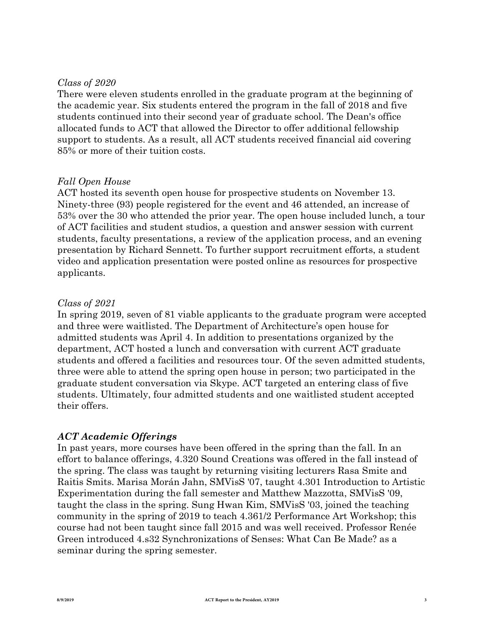#### *Class of 2020*

There were eleven students enrolled in the graduate program at the beginning of the academic year. Six students entered the program in the fall of 2018 and five students continued into their second year of graduate school. The Dean's office allocated funds to ACT that allowed the Director to offer additional fellowship support to students. As a result, all ACT students received financial aid covering 85% or more of their tuition costs.

#### *Fall Open House*

ACT hosted its seventh open house for prospective students on November 13. Ninety-three (93) people registered for the event and 46 attended, an increase of 53% over the 30 who attended the prior year. The open house included lunch, a tour of ACT facilities and student studios, a question and answer session with current students, faculty presentations, a review of the application process, and an evening presentation by Richard Sennett. To further support recruitment efforts, a student video and application presentation were posted online as resources for prospective applicants.

#### *Class of 2021*

In spring 2019, seven of 81 viable applicants to the graduate program were accepted and three were waitlisted. The Department of Architecture's open house for admitted students was April 4. In addition to presentations organized by the department, ACT hosted a lunch and conversation with current ACT graduate students and offered a facilities and resources tour. Of the seven admitted students, three were able to attend the spring open house in person; two participated in the graduate student conversation via Skype. ACT targeted an entering class of five students. Ultimately, four admitted students and one waitlisted student accepted their offers.

#### *ACT Academic Offerings*

In past years, more courses have been offered in the spring than the fall. In an effort to balance offerings, 4.320 Sound Creations was offered in the fall instead of the spring. The class was taught by returning visiting lecturers Rasa Smite and Raitis Smits. Marisa Morán Jahn, SMVisS '07, taught 4.301 Introduction to Artistic Experimentation during the fall semester and Matthew Mazzotta, SMVisS '09, taught the class in the spring. Sung Hwan Kim, SMVisS '03, joined the teaching community in the spring of 2019 to teach 4.361/2 Performance Art Workshop; this course had not been taught since fall 2015 and was well received. Professor Renée Green introduced 4.s32 Synchronizations of Senses: What Can Be Made? as a seminar during the spring semester.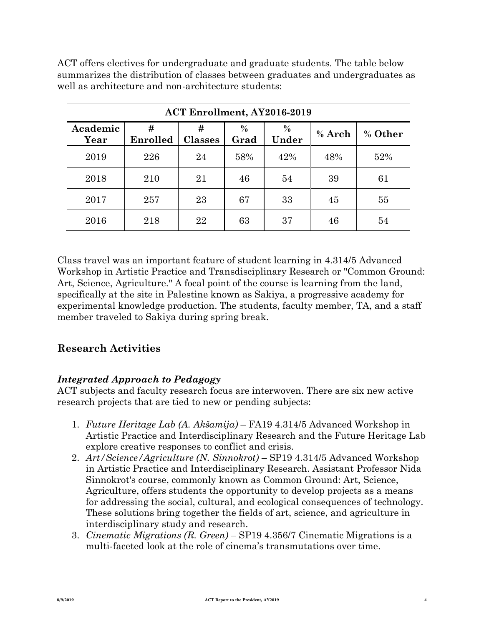ACT offers electives for undergraduate and graduate students. The table below summarizes the distribution of classes between graduates and undergraduates as well as architecture and non-architecture students:

| <b>ACT Enrollment, AY2016-2019</b> |               |                     |                       |               |          |         |  |  |
|------------------------------------|---------------|---------------------|-----------------------|---------------|----------|---------|--|--|
| Academic<br>Year                   | #<br>Enrolled | #<br><b>Classes</b> | $\frac{0}{0}$<br>Grad | $\%$<br>Under | $%$ Arch | % Other |  |  |
| 2019                               | 226           | 24                  | 58%                   | 42%           | 48%      | 52%     |  |  |
| 2018                               | 210           | 21                  | 46                    | 54            | 39       | 61      |  |  |
| 2017                               | 257           | 23                  | 67                    | 33            | 45       | 55      |  |  |
| 2016                               | 218           | 22                  | 63                    | 37            | 46       | 54      |  |  |

Class travel was an important feature of student learning in 4.314/5 Advanced Workshop in Artistic Practice and Transdisciplinary Research or "Common Ground: Art, Science, Agriculture." A focal point of the course is learning from the land, specifically at the site in Palestine known as Sakiya, a progressive academy for experimental knowledge production. The students, faculty member, TA, and a staff member traveled to Sakiya during spring break.

# **Research Activities**

# *Integrated Approach to Pedagogy*

ACT subjects and faculty research focus are interwoven. There are six new active research projects that are tied to new or pending subjects:

- 1. *Future Heritage Lab (A. Akšamija)* FA19 4.314/5 Advanced Workshop in Artistic Practice and Interdisciplinary Research and the Future Heritage Lab explore creative responses to conflict and crisis.
- 2. *Art/Science/Agriculture (N. Sinnokrot)* SP19 4.314/5 Advanced Workshop in Artistic Practice and Interdisciplinary Research. Assistant Professor Nida Sinnokrot's course, commonly known as Common Ground: Art, Science, Agriculture, offers students the opportunity to develop projects as a means for addressing the social, cultural, and ecological consequences of technology. These solutions bring together the fields of art, science, and agriculture in interdisciplinary study and research.
- 3. *Cinematic Migrations (R. Green)* SP19 4.356/7 Cinematic Migrations is a multi-faceted look at the role of cinema's transmutations over time.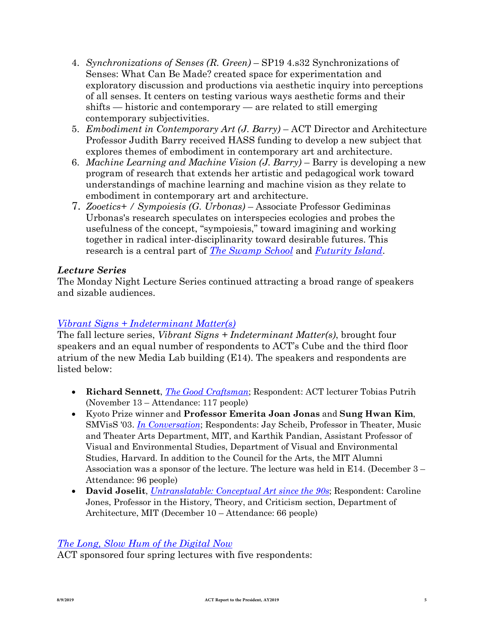- 4. *Synchronizations of Senses (R. Green)* SP19 4.s32 Synchronizations of Senses: What Can Be Made? created space for experimentation and exploratory discussion and productions via aesthetic inquiry into perceptions of all senses. It centers on testing various ways aesthetic forms and their shifts — historic and contemporary — are related to still emerging contemporary subjectivities.
- 5. *Embodiment in Contemporary Art (J. Barry)* ACT Director and Architecture Professor Judith Barry received HASS funding to develop a new subject that explores themes of embodiment in contemporary art and architecture.
- 6. *Machine Learning and Machine Vision (J. Barry)* Barry is developing a new program of research that extends her artistic and pedagogical work toward understandings of machine learning and machine vision as they relate to embodiment in contemporary art and architecture.
- 7. *Zooetics+ / Sympoiesis (G. Urbonas)* Associate Professor Gediminas Urbonas's research speculates on interspecies ecologies and probes the usefulness of the concept, "sympoiesis," toward imagining and working together in radical inter-disciplinarity toward desirable futures. This research is a central part of *The Swamp School* and *[Futurity Is](http://act.mit.edu/news/2018/05/24/swamp-school-lithuanian-pavilion-venice-international-architecture-biennale/)land*[.](https://workofwind.ca/project/futurity-island/)

## *[Lecture Serie](https://workofwind.ca/project/futurity-island/)s*

The Monday Night Lecture Series continued attracting a broad range of speakers and sizable audiences.

# *Vibrant Signs + Indeterminant Matter(s)*

[The fall lecture series,](http://act.mit.edu/projects-and-events/lectures-series/2018-fall/fall-2018-about-series/) *Vibrant Signs + Indeterminant Matter(s)*, brought four speakers and an equal number of respondents to ACT's Cube and the third floor atrium of the new Media Lab building (E14). The speakers and respondents are listed below:

- **Richard Sennett**, *The Good Craftsman*[; Respondent: ACT](http://act.mit.edu/projects-and-events/lectures-series/2018-fall/nov-13-richard-sennett-the-good-craftsman/) lecturer Tobias Putrih (November 13 – Attendance: 117 people)
- Kyoto Prize winner and **Professor Emerita Joan Jonas** and **Sung Hwan Kim**, SMVisS '03. *In Conversation*[; Respondents:](http://act.mit.edu/projects-and-events/lectures-series/2018-fall/dec-3-joan-jonas-and-sung-hwan-kim-in-conversation/) Jay Scheib, Professor in Theater, Music and Theater Arts Department, MIT, and Karthik Pandian, Assistant Professor of Visual and Environmental Studies, Department of Visual and Environmental Studies, Harvard. In addition to the Council for the Arts, the MIT Alumni Association was a sponsor of the lecture. The lecture was held in E14. (December 3 – Attendance: 96 people)
- **David Joselit**, *Untranslatable: Conceptual Art since the 90s*[; Respondent: Caroline](http://act.mit.edu/projects-and-events/lectures-series/2018-fall/dec-10-david-joselit-untranslatable-conceptual-art-since-the-90s/) [Jones, Professor in t](http://act.mit.edu/projects-and-events/lectures-series/2018-fall/dec-10-david-joselit-untranslatable-conceptual-art-since-the-90s/)he History, Theory, and Criticism section, Department of Architecture, MIT (December 10 – Attendance: 66 people)

# *The Long, Slow Hum of the Digital Now*

[ACT sponsored four spring lectures w](http://act.mit.edu/projects-and-events/lectures-series/2019-spring/spring-2019-about-series/)ith five respondents: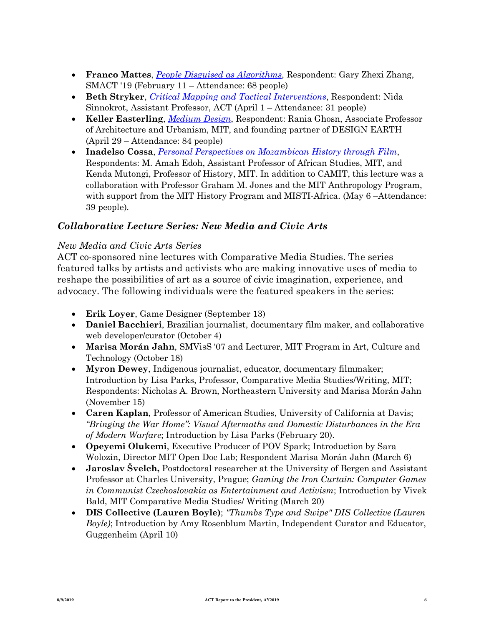- **Franco Mattes**, *People Disguised as Algorithms*[, Respondent: Gary Zhexi Zhang](http://act.mit.edu/projects-and-events/lectures-series/2019-spring/feb-11-franco-mattes-people-disguised-as-algorithms/), SMACT '19 (February 11 – Attendance: 68 people)
- **Beth Stryker**, *Critical Mapping and Tactical Interventions*[, Respondent: Nida](http://act.mit.edu/projects-and-events/lectures-series/2019-spring/apr-1-beth-stryker-critical-mapping-and-tactical-interventions/) [Sinnokrot, Assistant Pro](http://act.mit.edu/projects-and-events/lectures-series/2019-spring/apr-1-beth-stryker-critical-mapping-and-tactical-interventions/)fessor, ACT (April 1 – Attendance: 31 people)
- **Keller Easterling**, *Medium Design*[, Respondent:](http://act.mit.edu/projects-and-events/lectures-series/2019-spring/apr-29-keller-easterling-medium-design/) Rania Ghosn, Associate Professor of Architecture and Urbanism, MIT, and founding partner of DESIGN EARTH (April 29 – Attendance: 84 people)
- **Inadelso Cossa**, *Personal Perspectives on Mozambican History through Film*[,](http://act.mit.edu/projects-and-events/lectures-series/2019-spring/may-6-inadelso-cossa/) [Respondents: M. Amah Edoh, Assistant Professor of Afri](http://act.mit.edu/projects-and-events/lectures-series/2019-spring/may-6-inadelso-cossa/)can Studies, MIT, and Kenda Mutongi, Professor of History, MIT. In addition to CAMIT, this lecture was a collaboration with Professor Graham M. Jones and the MIT Anthropology Program, with support from the MIT History Program and MISTI-Africa. (May 6-Attendance: 39 people).

### *Collaborative Lecture Series: New Media and Civic Arts*

#### *New Media and Civic Arts Series*

ACT co-sponsored nine lectures with Comparative Media Studies. The series featured talks by artists and activists who are making innovative uses of media to reshape the possibilities of art as a source of civic imagination, experience, and advocacy. The following individuals were the featured speakers in the series:

- **Erik Loyer**, Game Designer (September 13)
- **Daniel Bacchieri**, Brazilian journalist, documentary film maker, and collaborative web developer/curator (October 4)
- **Marisa Morán Jahn**, SMVisS '07 and Lecturer, MIT Program in Art, Culture and Technology (October 18)
- **Myron Dewey**, Indigenous journalist, educator, documentary filmmaker; Introduction by Lisa Parks, Professor, Comparative Media Studies/Writing, MIT; Respondents: Nicholas A. Brown, Northeastern University and Marisa Morán Jahn (November 15)
- **Caren Kaplan**, Professor of American Studies, University of California at Davis; *"Bringing the War Home": Visual Aftermaths and Domestic Disturbances in the Era of Modern Warfare*; Introduction by Lisa Parks (February 20).
- **Opeyemi Olukemi**, Executive Producer of POV Spark; Introduction by Sara Wolozin, Director MIT Open Doc Lab; Respondent Marisa Morán Jahn (March 6)
- **Jaroslav Švelch,** Postdoctoral researcher at the University of Bergen and Assistant Professor at Charles University, Prague; *Gaming the Iron Curtain: Computer Games in Communist Czechoslovakia as Entertainment and Activism*; Introduction by Vivek Bald, MIT Comparative Media Studies/ Writing (March 20)
- **DIS Collective (Lauren Boyle)**; *"Thumbs Type and Swipe" DIS Collective (Lauren Boyle)*; Introduction by Amy Rosenblum Martin, Independent Curator and Educator, Guggenheim (April 10)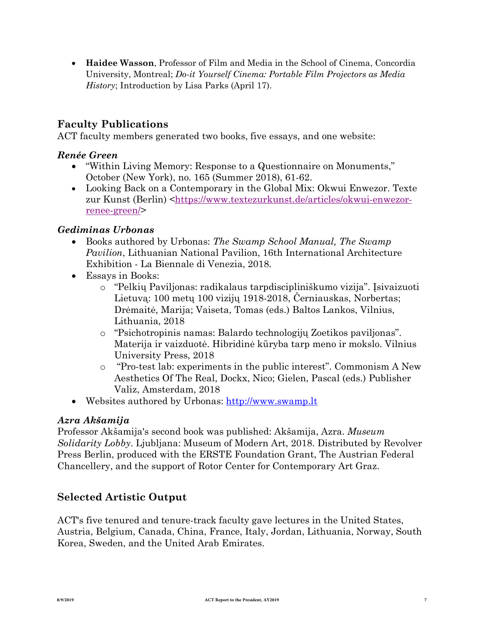• **Haidee Wasson**, Professor of Film and Media in the School of Cinema, Concordia University, Montreal; *Do-it Yourself Cinema: Portable Film Projectors as Media History*; Introduction by Lisa Parks (April 17).

# **Faculty Publications**

ACT faculty members generated two books, five essays, and one website:

### *Renée Green*

- "Within Living Memory: Response to a Questionnaire on Monuments," October (New York), no. 165 (Summer 2018), 61-62.
- Looking Back on a Contemporary in the Global Mix: Okwui Enwezor. Texte zur Kunst (Berlin) <https://www.textezurkunst.de/articles/okwui-enwezorrenee-green[/>](https://www.textezurkunst.de/articles/okwui-enwezor-renee-green/)

### *[Gediminas Urbonas](https://www.textezurkunst.de/articles/okwui-enwezor-renee-green/)*

- [Books authored by Urbonas:](https://www.textezurkunst.de/articles/okwui-enwezor-renee-green/) *The Swamp School Manual, The Swamp Pavilion*, Lithuanian National Pavilion, 16th International Architecture Exhibition - La Biennale di Venezia, 2018.
- Essays in Books:
	- o "Pelkių Paviljonas: radikalaus tarpdiscipliniškumo vizija". Įsivaizuoti Lietuvą: 100 metų 100 vizijų 1918-2018, Černiauskas, Norbertas; Drėmaitė, Marija; Vaiseta, Tomas (eds.) Baltos Lankos, Vilnius, Lithuania, 2018
	- o "Psichotropinis namas: Balardo technologijų Zoetikos paviljonas". Materija ir vaizduotė. Hibridinė kūryba tarp meno ir mokslo. Vilnius University Press, 2018
	- o "Pro-test lab: experiments in the public interest". Commonism A New Aesthetics Of The Real, Dockx, Nico; Gielen, Pascal (eds.) Publisher Valiz, Amsterdam, 2018
- Websites authored by Urbonas: http://www.swamp.lt

### *[Azra Ak](http://www.swamp.lt/)šamija*

[Prof](http://www.swamp.lt/)essor Akšamija's second book was published: Akšamija, Azra. *Museum Solidarity Lobby*. Ljubljana: Museum of Modern Art, 2018. Distributed by Revolver Press Berlin, produced with the ERSTE Foundation Grant, The Austrian Federal Chancellery, and the support of Rotor Center for Contemporary Art Graz.

# **Selected Artistic Output**

ACT's five tenured and tenure-track faculty gave lectures in the United States, Austria, Belgium, Canada, China, France, Italy, Jordan, Lithuania, Norway, South Korea, Sweden, and the United Arab Emirates.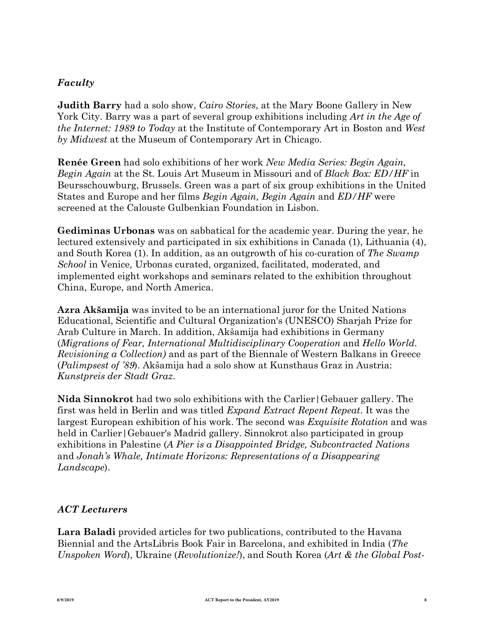### *Faculty*

**Judith Barry** had a solo show, *Cairo Stories*, at the Mary Boone Gallery in New York City. Barry was a part of several group exhibitions including *Art in the Age of the Internet: 1989 to Today* at the Institute of Contemporary Art in Boston and *West by Midwest* at the Museum of Contemporary Art in Chicago.

**Renée Green** had solo exhibitions of her work *New Media Series: Begin Again, Begin Again* at the St. Louis Art Museum in Missouri and of *Black Box: ED/HF* in Beursschouwburg, Brussels. Green was a part of six group exhibitions in the United States and Europe and her films *Begin Again, Begin Again* and *ED/HF* were screened at the Calouste Gulbenkian Foundation in Lisbon.

**Gediminas Urbonas** was on sabbatical for the academic year. During the year, he lectured extensively and participated in six exhibitions in Canada (1), Lithuania (4), and South Korea (1). In addition, as an outgrowth of his co-curation of *The Swamp School* in Venice*,* Urbonas curated, organized, facilitated, moderated, and implemented eight workshops and seminars related to the exhibition throughout China, Europe, and North America.

**Azra Akšamija** was invited to be an international juror for the United Nations Educational, Scientific and Cultural Organization's (UNESCO) Sharjah Prize for Arab Culture in March. In addition, Akšamija had exhibitions in Germany (*Migrations of Fear, International Multidisciplinary Cooperation* and *Hello World. Revisioning a Collection)* and as part of the Biennale of Western Balkans in Greece (*Palimpsest of '89*). Akšamija had a solo show at Kunsthaus Graz in Austria: *Kunstpreis der Stadt Graz*.

**Nida Sinnokrot** had two solo exhibitions with the Carlier|Gebauer gallery. The first was held in Berlin and was titled *Expand Extract Repent Repeat*. It was the largest European exhibition of his work. The second was *Exquisite Rotation* and was held in Carlier | Gebauer's Madrid gallery. Sinnokrot also participated in group exhibitions in Palestine (*A Pier is a Disappointed Bridge, Subcontracted Nations* and *Jonah's Whale, Intimate Horizons: Representations of a Disappearing Landscape*).

# *ACT Lecturers*

**Lara Baladi** provided articles for two publications, contributed to the Havana Biennial and the ArtsLibris Book Fair in Barcelona, and exhibited in India (*The Unspoken Word*), Ukraine (*Revolutionize!*), and South Korea (*Art & the Global Post-*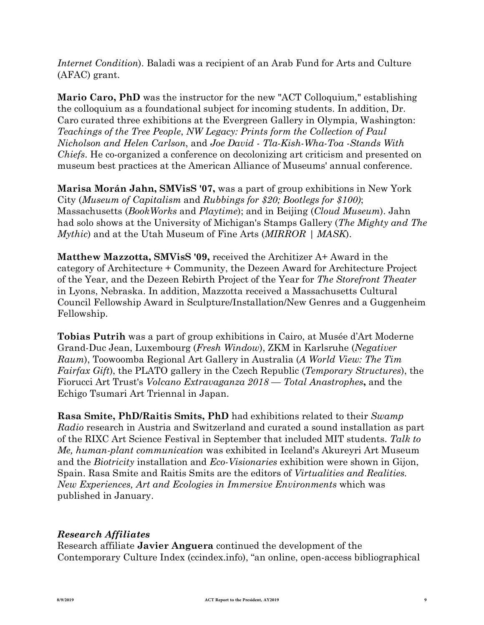*Internet Condition*). Baladi was a recipient of an Arab Fund for Arts and Culture (AFAC) grant.

**Mario Caro, PhD** was the instructor for the new "ACT Colloquium," establishing the colloquium as a foundational subject for incoming students. In addition, Dr. Caro curated three exhibitions at the Evergreen Gallery in Olympia, Washington: *Teachings of the Tree People*, *NW Legacy: Prints form the Collection of Paul Nicholson and Helen Carlson*, and *Joe David - Tla-Kish-Wha-Toa -Stands With Chiefs*. He co-organized a conference on decolonizing art criticism and presented on museum best practices at the American Alliance of Museums' annual conference.

**Marisa Morán Jahn, SMVisS '07,** was a part of group exhibitions in New York City (*Museum of Capitalism* and *Rubbings for \$20; Bootlegs for \$100)*; Massachusetts (*BookWorks* and *Playtime*); and in Beijing (*Cloud Museum*). Jahn had solo shows at the University of Michigan's Stamps Gallery (*The Mighty and The Mythic*) and at the Utah Museum of Fine Arts (*MIRROR | MASK*).

**Matthew Mazzotta, SMVisS '09,** received the Architizer A+ Award in the category of Architecture + Community, the Dezeen Award for Architecture Project of the Year, and the Dezeen Rebirth Project of the Year for *The Storefront Theater* in Lyons, Nebraska. In addition, Mazzotta received a Massachusetts Cultural Council Fellowship Award in Sculpture/Installation/New Genres and a Guggenheim Fellowship.

**Tobias Putrih** was a part of group exhibitions in Cairo, at Musée d'Art Moderne Grand-Duc Jean, Luxembourg (*Fresh Window*), ZKM in Karlsruhe (*Negativer Raum*), Toowoomba Regional Art Gallery in Australia (*A World View: The Tim Fairfax Gift*), the PLATO gallery in the Czech Republic (*Temporary Structures*), the Fiorucci Art Trust's *Volcano Extravaganza 2018 — Total Anastrophes***,** and the Echigo Tsumari Art Triennal in Japan.

**Rasa Smite, PhD/Raitis Smits, PhD** had exhibitions related to their *Swamp Radio* research in Austria and Switzerland and curated a sound installation as part of the RIXC Art Science Festival in September that included MIT students. *Talk to Me, human-plant communication* was exhibited in Iceland's Akureyri Art Museum and the *Biotricity* installation and *Eco-Visionaries* exhibition were shown in Gijon, Spain. Rasa Smite and Raitis Smits are the editors of *Virtualities and Realities. New Experiences, Art and Ecologies in Immersive Environments* which was published in January.

### *Research Affiliates*

Research affiliate **Javier Anguera** continued the development of the Contemporary Culture Index (ccindex.info), "an online, open-access bibliographical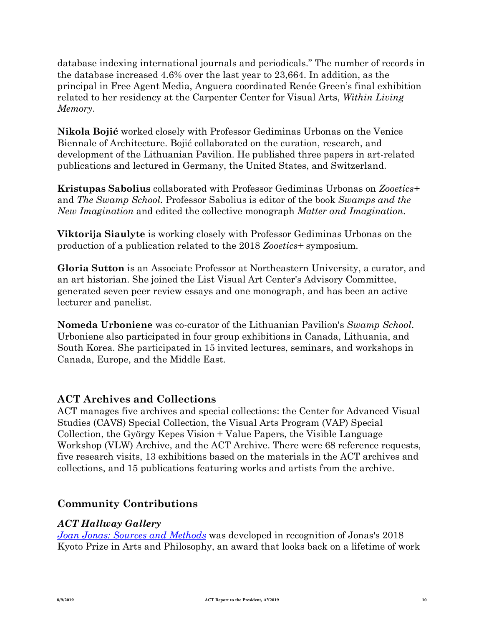database indexing international journals and periodicals." The number of records in the database increased 4.6% over the last year to 23,664. In addition, as the principal in Free Agent Media, Anguera coordinated Renée Green's final exhibition related to her residency at the Carpenter Center for Visual Arts, *Within Living Memory*.

**Nikola Bojić** worked closely with Professor Gediminas Urbonas on the Venice Biennale of Architecture. Bojić collaborated on the curation, research, and development of the Lithuanian Pavilion. He published three papers in art-related publications and lectured in Germany, the United States, and Switzerland.

**Kristupas Sabolius** collaborated with Professor Gediminas Urbonas on *Zooetics+* and *The Swamp School.* Professor Sabolius is editor of the book *Swamps and the New Imagination* and edited the collective monograph *Matter and Imagination.* 

**Viktorija Siaulyte** is working closely with Professor Gediminas Urbonas on the production of a publication related to the 2018 *Zooetics+* symposium.

**Gloria Sutton** is an Associate Professor at Northeastern University, a curator, and an art historian. She joined the List Visual Art Center's Advisory Committee, generated seven peer review essays and one monograph, and has been an active lecturer and panelist.

**Nomeda Urboniene** was co-curator of the Lithuanian Pavilion's *Swamp School*. Urboniene also participated in four group exhibitions in Canada, Lithuania, and South Korea. She participated in 15 invited lectures, seminars, and workshops in Canada, Europe, and the Middle East.

# **ACT Archives and Collections**

ACT manages five archives and special collections: the Center for Advanced Visual Studies (CAVS) Special Collection, the Visual Arts Program (VAP) Special Collection, the György Kepes Vision + Value Papers, the Visible Language Workshop (VLW) Archive, and the ACT Archive. There were 68 reference requests, five research visits, 13 exhibitions based on the materials in the ACT archives and collections, and 15 publications featuring works and artists from the archive.

# **Community Contributions**

### *ACT Hallway Gallery*

*Joan Jonas: Sources and Methods* [was developed in recognition o](http://act.mit.edu/projects-and-events/events/projects/joan-jonas-sources-and-methods/)f Jonas's 2018 Kyoto Prize in Arts and Philosophy, an award that looks back on a lifetime of work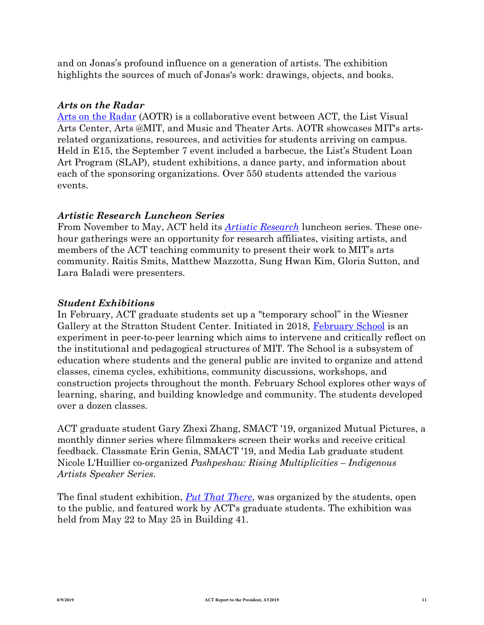and on Jonas's profound influence on a generation of artists. The exhibition highlights the sources of much of Jonas's work: drawings, objects, and books.

#### *Arts on the Radar*

Arts on the Radar [\(AOTR\) is a coll](http://act.mit.edu/projects-and-events/events/events/arts-on-the-radar-2018/)aborative event between ACT, the List Visual Arts Center, Arts @MIT, and Music and Theater Arts. AOTR showcases MIT's artsrelated organizations, resources, and activities for students arriving on campus. Held in E15, the September 7 event included a barbecue, the List's Student Loan Art Program (SLAP), student exhibitions, a dance party, and information about each of the sponsoring organizations. Over 550 students attended the various events.

### *Artistic Research Luncheon Series*

From November to May, ACT held its *Artistic Research* [luncheon series.](http://act.mit.edu/projects-and-events/events/events/artistic-research-luncheon-series-spring-2019/) These onehour gatherings were an opportunity for research affiliates, visiting artists, and members of the ACT teaching community to present their work to MIT's arts community. Raitis Smits, Matthew Mazzotta, Sung Hwan Kim, Gloria Sutton, and Lara Baladi were presenters.

#### *Student Exhibitions*

In February, ACT graduate students set up a "temporary school" in the Wiesner Gallery at the Stratton Student Center. Initiated in 2018, February School [is an](http://act.mit.edu/projects-and-events/events/events/february-school-2019/) [experime](http://act.mit.edu/projects-and-events/events/events/february-school-2019/)nt in peer-to-peer learning which aims to intervene and critically reflect on the institutional and pedagogical structures of MIT. The School is a subsystem of education where students and the general public are invited to organize and attend classes, cinema cycles, exhibitions, community discussions, workshops, and construction projects throughout the month. February School explores other ways of learning, sharing, and building knowledge and community. The students developed over a dozen classes.

ACT graduate student Gary Zhexi Zhang, SMACT '19, organized Mutual Pictures, a monthly dinner series where filmmakers screen their works and receive critical feedback. Classmate Erin Genia, SMACT '19, and Media Lab graduate student Nicole L'Huillier co-organized *Pashpeshau: Rising Multiplicities – Indigenous Artists Speaker Series*.

The final student exhibition, *Put That There*[, was organize](http://act.mit.edu/projects-and-events/events/events/put-that-there-an-exhibition-of-act-graduate-student-work/)d by the students, open to the public, and featured work by ACT's graduate students. The exhibition was held from May 22 to May 25 in Building 41.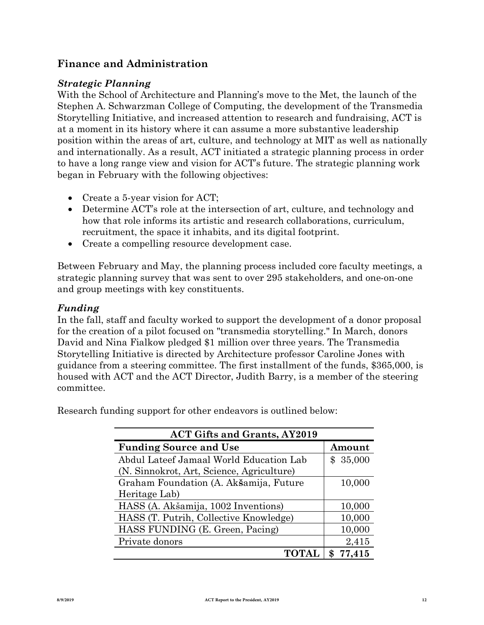# **Finance and Administration**

#### *Strategic Planning*

With the School of Architecture and Planning's move to the Met, the launch of the Stephen A. Schwarzman College of Computing, the development of the Transmedia Storytelling Initiative, and increased attention to research and fundraising, ACT is at a moment in its history where it can assume a more substantive leadership position within the areas of art, culture, and technology at MIT as well as nationally and internationally. As a result, ACT initiated a strategic planning process in order to have a long range view and vision for ACT's future. The strategic planning work began in February with the following objectives:

- Create a 5-year vision for ACT;
- Determine ACT's role at the intersection of art, culture, and technology and how that role informs its artistic and research collaborations, curriculum, recruitment, the space it inhabits, and its digital footprint.
- Create a compelling resource development case.

Between February and May, the planning process included core faculty meetings, a strategic planning survey that was sent to over 295 stakeholders, and one-on-one and group meetings with key constituents.

#### *Funding*

In the fall, staff and faculty worked to support the development of a donor proposal for the creation of a pilot focused on "transmedia storytelling." In March, donors David and Nina Fialkow pledged \$1 million over three years. The Transmedia Storytelling Initiative is directed by Architecture professor Caroline Jones with guidance from a steering committee. The first installment of the funds, \$365,000, is housed with ACT and the ACT Director, Judith Barry, is a member of the steering committee.

Research funding support for other endeavors is outlined below:

| <b>ACT Gifts and Grants, AY2019</b>       |          |  |  |  |  |
|-------------------------------------------|----------|--|--|--|--|
| <b>Funding Source and Use</b>             | Amount   |  |  |  |  |
| Abdul Lateef Jamaal World Education Lab   | \$35,000 |  |  |  |  |
| (N. Sinnokrot, Art, Science, Agriculture) |          |  |  |  |  |
| Graham Foundation (A. Akšamija, Future    | 10,000   |  |  |  |  |
| Heritage Lab)                             |          |  |  |  |  |
| HASS (A. Akšamija, 1002 Inventions)       | 10,000   |  |  |  |  |
| HASS (T. Putrih, Collective Knowledge)    | 10,000   |  |  |  |  |
| HASS FUNDING (E. Green, Pacing)           | 10,000   |  |  |  |  |
| Private donors                            | 2,415    |  |  |  |  |
| TOTAL                                     | \$77,415 |  |  |  |  |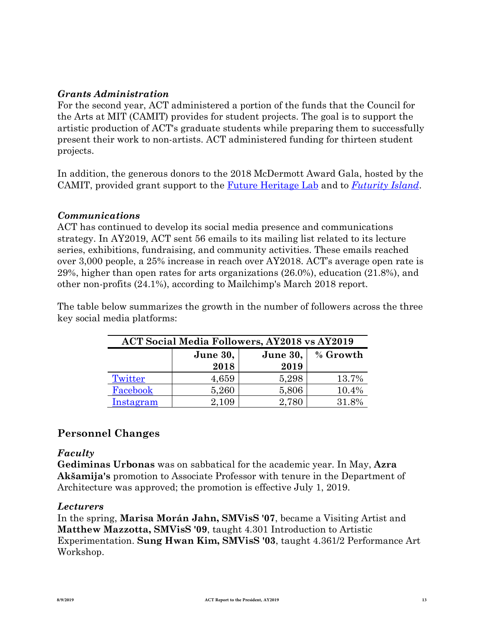#### *Grants Administration*

For the second year, ACT administered a portion of the funds that the Council for the Arts at MIT (CAMIT) provides for student projects. The goal is to support the artistic production of ACT's graduate students while preparing them to successfully present their work to non-artists. ACT administered funding for thirteen student projects.

In addition, the generous donors to the 2018 McDermott Award Gala, hosted by the CAMIT, provided grant support to the Future Heritage Lab and to *[Futurity Is](https://www.futureheritagelab.com/)land*[.](http://act.mit.edu/projects-and-events/events/public-programs/futurity-island/)

#### *[Communicatio](http://act.mit.edu/projects-and-events/events/public-programs/futurity-island/)ns*

ACT has continued to develop its social media presence and communications strategy. In AY2019, ACT sent 56 emails to its mailing list related to its lecture series, exhibitions, fundraising, and community activities. These emails reached over 3,000 people, a 25% increase in reach over AY2018. ACT's average open rate is 29%, higher than open rates for arts organizations (26.0%), education (21.8%), and other non-profits (24.1%), according to Mailchimp's March 2018 report.

The table below summarizes the growth in the number of followers across the three key social media platforms:

| <b>ACT Social Media Followers, AY2018 vs AY2019</b> |          |          |          |  |  |  |  |
|-----------------------------------------------------|----------|----------|----------|--|--|--|--|
|                                                     | June 30, | June 30, | % Growth |  |  |  |  |
|                                                     | 2018     | 2019     |          |  |  |  |  |
| Twitter                                             | 4,659    | 5,298    | 13.7%    |  |  |  |  |
| Facebook                                            | 5,260    | 5,806    | 10.4%    |  |  |  |  |
| Instagram                                           | 2,109    | 2,780    | 31.8%    |  |  |  |  |

# **Personnel Changes**

#### *Faculty*

**Gediminas Urbonas** was on sabbatical for the academic year. In May, **Azra Akšamija's** promotion to Associate Professor with tenure in the Department of Architecture was approved; the promotion is effective July 1, 2019.

#### *Lecturers*

In the spring, **Marisa Morán Jahn, SMVisS '07**, became a Visiting Artist and **Matthew Mazzotta, SMVisS '09**, taught 4.301 Introduction to Artistic Experimentation. **Sung Hwan Kim, SMVisS '03**, taught 4.361/2 Performance Art Workshop.